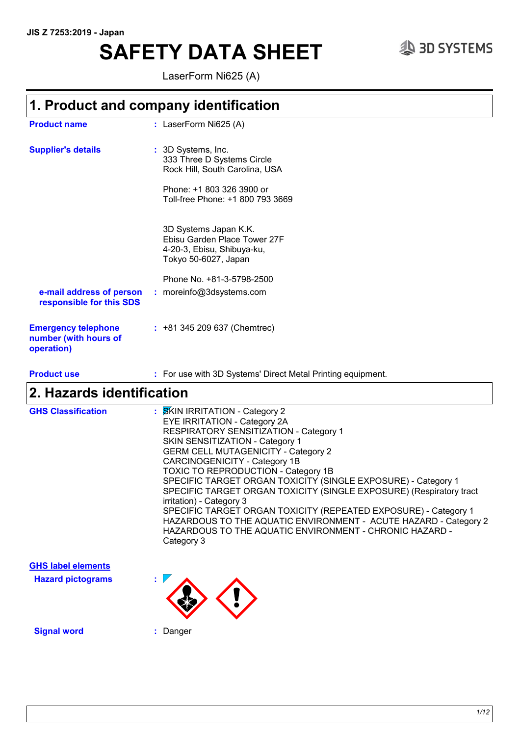# **SAFETY DATA SHEET**  $\textcircled{3}$  3D SYSTEMS

LaserForm Ni625 (A)

### **1. Product and company identification**

| <b>Product name</b>                                               | : LaserForm Ni625 (A)                                                                                       |
|-------------------------------------------------------------------|-------------------------------------------------------------------------------------------------------------|
| <b>Supplier's details</b>                                         | : 3D Systems, Inc.<br>333 Three D Systems Circle<br>Rock Hill, South Carolina, USA                          |
|                                                                   | Phone: +1 803 326 3900 or<br>Toll-free Phone: +1 800 793 3669                                               |
|                                                                   | 3D Systems Japan K.K.<br>Ebisu Garden Place Tower 27F<br>4-20-3, Ebisu, Shibuya-ku,<br>Tokyo 50-6027, Japan |
| e-mail address of person<br>responsible for this SDS              | Phone No. +81-3-5798-2500<br>: moreinfo@3dsystems.com                                                       |
| <b>Emergency telephone</b><br>number (with hours of<br>operation) | $: +81345209637$ (Chemtrec)                                                                                 |

**Product use <b>:** For use with 3D Systems' Direct Metal Printing equipment.

### **2. Hazards identification**

| <b>GHS Classification</b> | : SKIN IRRITATION - Category 2<br>EYE IRRITATION - Category 2A<br>RESPIRATORY SENSITIZATION - Category 1<br><b>SKIN SENSITIZATION - Category 1</b><br><b>GERM CELL MUTAGENICITY - Category 2</b><br>CARCINOGENICITY - Category 1B<br>TOXIC TO REPRODUCTION - Category 1B<br>SPECIFIC TARGET ORGAN TOXICITY (SINGLE EXPOSURE) - Category 1<br>SPECIFIC TARGET ORGAN TOXICITY (SINGLE EXPOSURE) (Respiratory tract<br>irritation) - Category 3<br>SPECIFIC TARGET ORGAN TOXICITY (REPEATED EXPOSURE) - Category 1<br>HAZARDOUS TO THE AQUATIC ENVIRONMENT - ACUTE HAZARD - Category 2<br>HAZARDOUS TO THE AQUATIC ENVIRONMENT - CHRONIC HAZARD - |
|---------------------------|------------------------------------------------------------------------------------------------------------------------------------------------------------------------------------------------------------------------------------------------------------------------------------------------------------------------------------------------------------------------------------------------------------------------------------------------------------------------------------------------------------------------------------------------------------------------------------------------------------------------------------------------|
|                           | Category 3                                                                                                                                                                                                                                                                                                                                                                                                                                                                                                                                                                                                                                     |



**Signal word :** Danger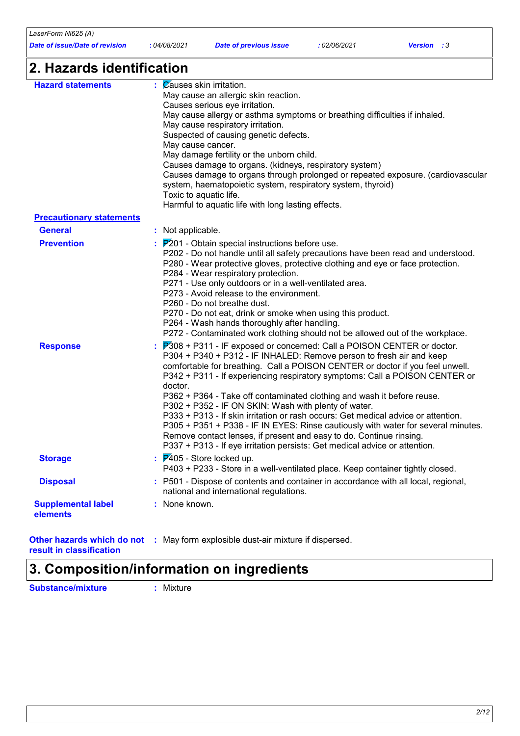| LaserForm Ni625 (A)            |                                                                                                                 |                                                                        |             |                   |  |
|--------------------------------|-----------------------------------------------------------------------------------------------------------------|------------------------------------------------------------------------|-------------|-------------------|--|
| Date of issue/Date of revision | :04/08/2021                                                                                                     | <b>Date of previous issue</b>                                          | :02/06/2021 | <b>Version</b> :3 |  |
| 2. Hazards identification      |                                                                                                                 |                                                                        |             |                   |  |
| <b>Hazard statements</b>       | $\mathcal{C}$ auses skin irritation.                                                                            | May cause an allergic skin reaction.<br>Causes serious eye irritation. |             |                   |  |
|                                | May cause allergy or asthma symptoms or breathing difficulties if inhaled.<br>May cause respiratory irritation. |                                                                        |             |                   |  |
|                                | May cause cancer.                                                                                               | Suspected of causing genetic defects.                                  |             |                   |  |
|                                |                                                                                                                 | May damage fertility or the unborn child.                              |             |                   |  |

|                                       | Causes damage to organs through prolonged or repeated exposure. (cardiovascular<br>system, haematopoietic system, respiratory system, thyroid)<br>Toxic to aquatic life.<br>Harmful to aquatic life with long lasting effects.                                                                                                                                                                                                                                                                                                                                                                                                                                                                                                                                                                                      |
|---------------------------------------|---------------------------------------------------------------------------------------------------------------------------------------------------------------------------------------------------------------------------------------------------------------------------------------------------------------------------------------------------------------------------------------------------------------------------------------------------------------------------------------------------------------------------------------------------------------------------------------------------------------------------------------------------------------------------------------------------------------------------------------------------------------------------------------------------------------------|
| <b>Precautionary statements</b>       |                                                                                                                                                                                                                                                                                                                                                                                                                                                                                                                                                                                                                                                                                                                                                                                                                     |
| <b>General</b>                        | : Not applicable.                                                                                                                                                                                                                                                                                                                                                                                                                                                                                                                                                                                                                                                                                                                                                                                                   |
| <b>Prevention</b>                     | $\frac{1}{2}$ $\mathbb{P}^{2}$ 01 - Obtain special instructions before use.<br>P202 - Do not handle until all safety precautions have been read and understood.<br>P280 - Wear protective gloves, protective clothing and eye or face protection.<br>P284 - Wear respiratory protection.<br>P271 - Use only outdoors or in a well-ventilated area.<br>P273 - Avoid release to the environment.<br>P260 - Do not breathe dust.<br>P270 - Do not eat, drink or smoke when using this product.<br>P264 - Wash hands thoroughly after handling.<br>P272 - Contaminated work clothing should not be allowed out of the workplace.                                                                                                                                                                                        |
| <b>Response</b>                       | $\frac{1}{2}$ $\mathbb{P}308$ + P311 - IF exposed or concerned: Call a POISON CENTER or doctor.<br>P304 + P340 + P312 - IF INHALED: Remove person to fresh air and keep<br>comfortable for breathing. Call a POISON CENTER or doctor if you feel unwell.<br>P342 + P311 - If experiencing respiratory symptoms: Call a POISON CENTER or<br>doctor.<br>P362 + P364 - Take off contaminated clothing and wash it before reuse.<br>P302 + P352 - IF ON SKIN: Wash with plenty of water.<br>P333 + P313 - If skin irritation or rash occurs: Get medical advice or attention.<br>P305 + P351 + P338 - IF IN EYES: Rinse cautiously with water for several minutes.<br>Remove contact lenses, if present and easy to do. Continue rinsing.<br>P337 + P313 - If eye irritation persists: Get medical advice or attention. |
| <b>Storage</b>                        | $\frac{1}{2}$ $\overline{P}$ 405 - Store locked up.<br>P403 + P233 - Store in a well-ventilated place. Keep container tightly closed.                                                                                                                                                                                                                                                                                                                                                                                                                                                                                                                                                                                                                                                                               |
| <b>Disposal</b>                       | : P501 - Dispose of contents and container in accordance with all local, regional,<br>national and international regulations.                                                                                                                                                                                                                                                                                                                                                                                                                                                                                                                                                                                                                                                                                       |
| <b>Supplemental label</b><br>elements | : None known.                                                                                                                                                                                                                                                                                                                                                                                                                                                                                                                                                                                                                                                                                                                                                                                                       |

**:** May form explosible dust-air mixture if dispersed.

Causes damage to organs. (kidneys, respiratory system)

**result in classification 3. Composition/information on ingredients**

**Substance/mixture :** Mixture

**Other hazards which do not**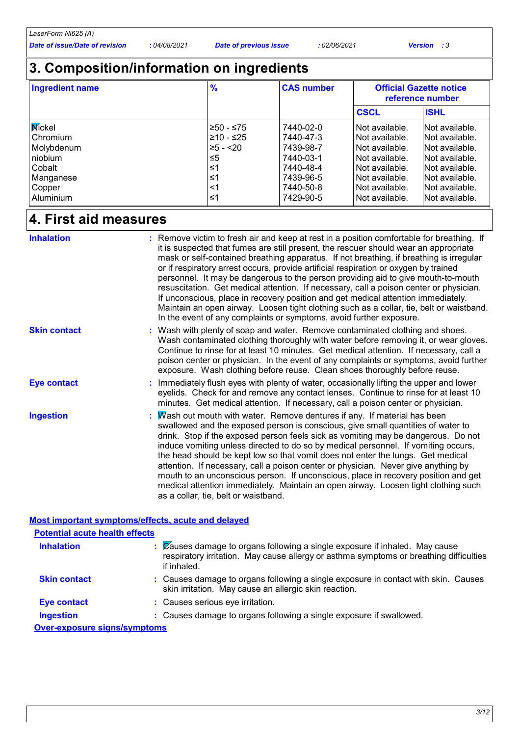### **3. Composition/information on ingredients**

| <b>Ingredient name</b> | $\frac{9}{6}$ | <b>CAS number</b> | <b>Official Gazette notice</b><br>reference number |                 |
|------------------------|---------------|-------------------|----------------------------------------------------|-----------------|
|                        |               |                   | <b>CSCL</b>                                        | <b>ISHL</b>     |
| Mickel                 | -≥50 - ≤75    | 7440-02-0         | Not available.                                     | lNot available. |
| Chromium               | $≥10 - ≤25$   | 7440-47-3         | Not available.                                     | Not available.  |
| Molybdenum             | $≥5 - < 20$   | 7439-98-7         | Not available.                                     | Not available.  |
| niobium                | ≤5            | 7440-03-1         | Not available.                                     | Not available.  |
| Cobalt                 | ≤1            | 7440-48-4         | Not available.                                     | Not available.  |
| Manganese              | ≤1            | 7439-96-5         | Not available.                                     | Not available.  |
| Copper                 | <1            | 7440-50-8         | Not available.                                     | Not available.  |
| Aluminium              | ≤1            | 7429-90-5         | Not available.                                     | Not available.  |

### **4. First aid measures**

| <b>Inhalation</b>   | : Remove victim to fresh air and keep at rest in a position comfortable for breathing. If<br>it is suspected that fumes are still present, the rescuer should wear an appropriate<br>mask or self-contained breathing apparatus. If not breathing, if breathing is irregular<br>or if respiratory arrest occurs, provide artificial respiration or oxygen by trained<br>personnel. It may be dangerous to the person providing aid to give mouth-to-mouth<br>resuscitation. Get medical attention. If necessary, call a poison center or physician.<br>If unconscious, place in recovery position and get medical attention immediately.<br>Maintain an open airway. Loosen tight clothing such as a collar, tie, belt or waistband.<br>In the event of any complaints or symptoms, avoid further exposure. |
|---------------------|-------------------------------------------------------------------------------------------------------------------------------------------------------------------------------------------------------------------------------------------------------------------------------------------------------------------------------------------------------------------------------------------------------------------------------------------------------------------------------------------------------------------------------------------------------------------------------------------------------------------------------------------------------------------------------------------------------------------------------------------------------------------------------------------------------------|
| <b>Skin contact</b> | : Wash with plenty of soap and water. Remove contaminated clothing and shoes.<br>Wash contaminated clothing thoroughly with water before removing it, or wear gloves.<br>Continue to rinse for at least 10 minutes. Get medical attention. If necessary, call a<br>poison center or physician. In the event of any complaints or symptoms, avoid further<br>exposure. Wash clothing before reuse. Clean shoes thoroughly before reuse.                                                                                                                                                                                                                                                                                                                                                                      |
| <b>Eye contact</b>  | : Immediately flush eyes with plenty of water, occasionally lifting the upper and lower<br>eyelids. Check for and remove any contact lenses. Continue to rinse for at least 10<br>minutes. Get medical attention. If necessary, call a poison center or physician.                                                                                                                                                                                                                                                                                                                                                                                                                                                                                                                                          |
| <b>Ingestion</b>    | : Mash out mouth with water. Remove dentures if any. If material has been<br>swallowed and the exposed person is conscious, give small quantities of water to<br>drink. Stop if the exposed person feels sick as vomiting may be dangerous. Do not<br>induce vomiting unless directed to do so by medical personnel. If vomiting occurs,<br>the head should be kept low so that vomit does not enter the lungs. Get medical<br>attention. If necessary, call a poison center or physician. Never give anything by<br>mouth to an unconscious person. If unconscious, place in recovery position and get<br>medical attention immediately. Maintain an open airway. Loosen tight clothing such<br>as a collar, tie, belt or waistband.                                                                       |

#### **Most important symptoms/effects, acute and delayed**

| <b>Potential acute health effects</b> |                                                                                                                                                                                                 |
|---------------------------------------|-------------------------------------------------------------------------------------------------------------------------------------------------------------------------------------------------|
| <b>Inhalation</b>                     | $\mathcal{C}$ auses damage to organs following a single exposure if inhaled. May cause<br>respiratory irritation. May cause allergy or asthma symptoms or breathing difficulties<br>if inhaled. |
| <b>Skin contact</b>                   | : Causes damage to organs following a single exposure in contact with skin. Causes<br>skin irritation. May cause an allergic skin reaction.                                                     |
| <b>Eye contact</b>                    | : Causes serious eye irritation.                                                                                                                                                                |
| <b>Ingestion</b>                      | : Causes damage to organs following a single exposure if swallowed.                                                                                                                             |
| <b>Over-exposure signs/symptoms</b>   |                                                                                                                                                                                                 |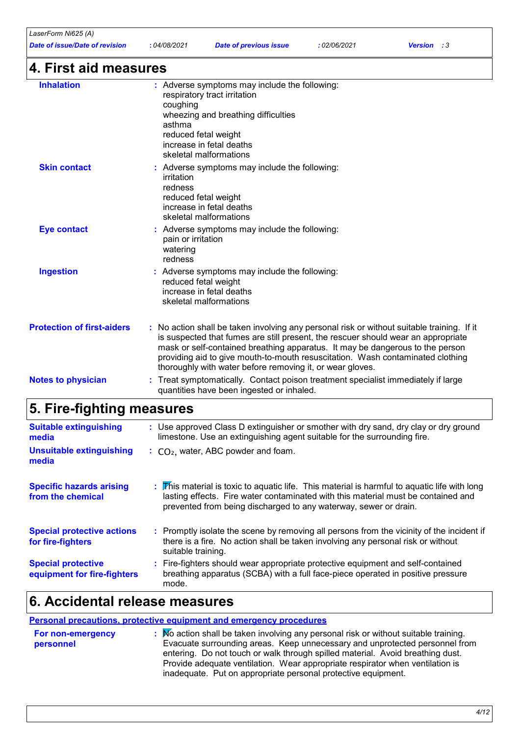| LaserForm Ni625 (A)<br><b>Date of issue/Date of revision</b> | :04/08/2021                                                                                                                                        | <b>Date of previous issue</b>                                                                                                                                                                                                                                                                                                                                                                                 | : 02/06/2021 | <b>Version</b> : 3 |
|--------------------------------------------------------------|----------------------------------------------------------------------------------------------------------------------------------------------------|---------------------------------------------------------------------------------------------------------------------------------------------------------------------------------------------------------------------------------------------------------------------------------------------------------------------------------------------------------------------------------------------------------------|--------------|--------------------|
| 4. First aid measures                                        |                                                                                                                                                    |                                                                                                                                                                                                                                                                                                                                                                                                               |              |                    |
| <b>Inhalation</b>                                            | coughing<br>asthma                                                                                                                                 | : Adverse symptoms may include the following:<br>respiratory tract irritation<br>wheezing and breathing difficulties<br>reduced fetal weight<br>increase in fetal deaths<br>skeletal malformations                                                                                                                                                                                                            |              |                    |
| <b>Skin contact</b>                                          | Adverse symptoms may include the following:<br>irritation<br>redness<br>reduced fetal weight<br>increase in fetal deaths<br>skeletal malformations |                                                                                                                                                                                                                                                                                                                                                                                                               |              |                    |
| <b>Eye contact</b>                                           | : Adverse symptoms may include the following:<br>pain or irritation<br>watering<br>redness                                                         |                                                                                                                                                                                                                                                                                                                                                                                                               |              |                    |
| <b>Ingestion</b>                                             |                                                                                                                                                    | : Adverse symptoms may include the following:<br>reduced fetal weight<br>increase in fetal deaths<br>skeletal malformations                                                                                                                                                                                                                                                                                   |              |                    |
| <b>Protection of first-aiders</b>                            |                                                                                                                                                    | No action shall be taken involving any personal risk or without suitable training. If it<br>is suspected that fumes are still present, the rescuer should wear an appropriate<br>mask or self-contained breathing apparatus. It may be dangerous to the person<br>providing aid to give mouth-to-mouth resuscitation. Wash contaminated clothing<br>thoroughly with water before removing it, or wear gloves. |              |                    |
| <b>Notes to physician</b>                                    |                                                                                                                                                    | : Treat symptomatically. Contact poison treatment specialist immediately if large<br>quantities have been ingested or inhaled.                                                                                                                                                                                                                                                                                |              |                    |
| 5. Fire-fighting measures                                    |                                                                                                                                                    |                                                                                                                                                                                                                                                                                                                                                                                                               |              |                    |
| <b>Suitable extinguishing</b>                                |                                                                                                                                                    | : Use approved Class D extinguisher or smother with dry sand, dry clay or dry ground                                                                                                                                                                                                                                                                                                                          |              |                    |

| media                                                    | limestone. Use an extinguishing agent suitable for the surrounding fire.                                                                                                                                                                                                               |
|----------------------------------------------------------|----------------------------------------------------------------------------------------------------------------------------------------------------------------------------------------------------------------------------------------------------------------------------------------|
| <b>Unsuitable extinguishing</b><br>media                 | $\therefore$ CO <sub>2</sub> , water, ABC powder and foam.                                                                                                                                                                                                                             |
| <b>Specific hazards arising</b><br>from the chemical     | $\therefore$ $\mathbf$ $\mathbf{F}$ his material is toxic to aguatic life. This material is harmful to aguatic life with long<br>lasting effects. Fire water contaminated with this material must be contained and<br>prevented from being discharged to any waterway, sewer or drain. |
| <b>Special protective actions</b><br>for fire-fighters   | : Promptly isolate the scene by removing all persons from the vicinity of the incident if<br>there is a fire. No action shall be taken involving any personal risk or without<br>suitable training.                                                                                    |
| <b>Special protective</b><br>equipment for fire-fighters | : Fire-fighters should wear appropriate protective equipment and self-contained<br>breathing apparatus (SCBA) with a full face-piece operated in positive pressure<br>mode.                                                                                                            |

### **6. Accidental release measures**

### **Personal precautions, protective equipment and emergency procedures**

| $\therefore$ Mo action shall be taken involving any personal risk or without suitable training. |
|-------------------------------------------------------------------------------------------------|
| Evacuate surrounding areas. Keep unnecessary and unprotected personnel from                     |
| entering. Do not touch or walk through spilled material. Avoid breathing dust.                  |
| Provide adequate ventilation. Wear appropriate respirator when ventilation is                   |
| inadequate. Put on appropriate personal protective equipment.                                   |
|                                                                                                 |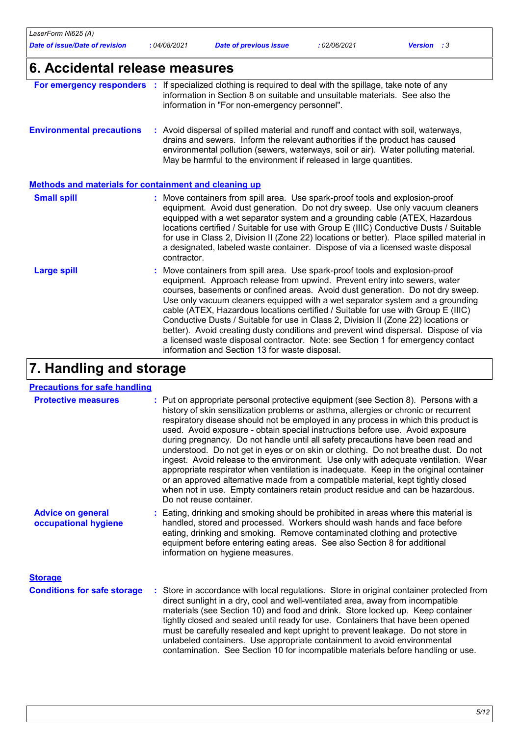| LaserForm Ni625 (A)<br><b>Date of issue/Date of revision</b>                                               | :04/08/2021 | <b>Date of previous issue</b>                                                                                                                                                                                                                                                                                                                                                                                                                                                                                                                                                                                                                | : 02/06/2021 | <b>Version</b> : 3                                                                                                                                                                                                                                                |
|------------------------------------------------------------------------------------------------------------|-------------|----------------------------------------------------------------------------------------------------------------------------------------------------------------------------------------------------------------------------------------------------------------------------------------------------------------------------------------------------------------------------------------------------------------------------------------------------------------------------------------------------------------------------------------------------------------------------------------------------------------------------------------------|--------------|-------------------------------------------------------------------------------------------------------------------------------------------------------------------------------------------------------------------------------------------------------------------|
| 6. Accidental release measures                                                                             |             |                                                                                                                                                                                                                                                                                                                                                                                                                                                                                                                                                                                                                                              |              |                                                                                                                                                                                                                                                                   |
| For emergency responders : If specialized clothing is required to deal with the spillage, take note of any |             | information in Section 8 on suitable and unsuitable materials. See also the<br>information in "For non-emergency personnel".                                                                                                                                                                                                                                                                                                                                                                                                                                                                                                                 |              |                                                                                                                                                                                                                                                                   |
| <b>Environmental precautions</b>                                                                           |             | : Avoid dispersal of spilled material and runoff and contact with soil, waterways,<br>drains and sewers. Inform the relevant authorities if the product has caused<br>environmental pollution (sewers, waterways, soil or air). Water polluting material.<br>May be harmful to the environment if released in large quantities.                                                                                                                                                                                                                                                                                                              |              |                                                                                                                                                                                                                                                                   |
| <b>Methods and materials for containment and cleaning up</b>                                               |             |                                                                                                                                                                                                                                                                                                                                                                                                                                                                                                                                                                                                                                              |              |                                                                                                                                                                                                                                                                   |
| <b>Small spill</b>                                                                                         | contractor. | : Move containers from spill area. Use spark-proof tools and explosion-proof<br>equipment. Avoid dust generation. Do not dry sweep. Use only vacuum cleaners<br>equipped with a wet separator system and a grounding cable (ATEX, Hazardous<br>locations certified / Suitable for use with Group E (IIIC) Conductive Dusts / Suitable<br>a designated, labeled waste container. Dispose of via a licensed waste disposal                                                                                                                                                                                                                     |              | for use in Class 2, Division II (Zone 22) locations or better). Place spilled material in                                                                                                                                                                         |
| <b>Large spill</b>                                                                                         |             | : Move containers from spill area. Use spark-proof tools and explosion-proof<br>equipment. Approach release from upwind. Prevent entry into sewers, water<br>courses, basements or confined areas. Avoid dust generation. Do not dry sweep.<br>Use only vacuum cleaners equipped with a wet separator system and a grounding<br>cable (ATEX, Hazardous locations certified / Suitable for use with Group E (IIIC)<br>Conductive Dusts / Suitable for use in Class 2, Division II (Zone 22) locations or<br>a licensed waste disposal contractor. Note: see Section 1 for emergency contact<br>information and Section 13 for waste disposal. |              | better). Avoid creating dusty conditions and prevent wind dispersal. Dispose of via                                                                                                                                                                               |
| 7. Handling and storage                                                                                    |             |                                                                                                                                                                                                                                                                                                                                                                                                                                                                                                                                                                                                                                              |              |                                                                                                                                                                                                                                                                   |
| <b>Precautions for safe handling</b>                                                                       |             |                                                                                                                                                                                                                                                                                                                                                                                                                                                                                                                                                                                                                                              |              |                                                                                                                                                                                                                                                                   |
| <b>Protective measures</b>                                                                                 |             | : Put on appropriate personal protective equipment (see Section 8). Persons with a<br>history of skin sensitization problems or asthma, allergies or chronic or recurrent<br>respiratory disease should not be employed in any process in which this product is<br>used. Avoid exposure - obtain special instructions before use. Avoid exposure<br>during pregnancy. Do not handle until all safety precautions have been read and<br>or an approved alternative made from a compatible material, kept tightly closed<br>when not in use. Empty containers retain product residue and can be hazardous.<br>Do not reuse container.          |              | understood. Do not get in eyes or on skin or clothing. Do not breathe dust. Do not<br>ingest. Avoid release to the environment. Use only with adequate ventilation. Wear<br>appropriate respirator when ventilation is inadequate. Keep in the original container |
| <b>Advice on general</b><br>occupational hygiene                                                           |             | : Eating, drinking and smoking should be prohibited in areas where this material is<br>handled, stored and processed. Workers should wash hands and face before<br>eating, drinking and smoking. Remove contaminated clothing and protective<br>equipment before entering eating areas. See also Section 8 for additional<br>information on hygiene measures.                                                                                                                                                                                                                                                                                |              |                                                                                                                                                                                                                                                                   |
| <b>Storage</b>                                                                                             |             |                                                                                                                                                                                                                                                                                                                                                                                                                                                                                                                                                                                                                                              |              |                                                                                                                                                                                                                                                                   |
| <b>Conditions for safe storage</b>                                                                         |             | direct sunlight in a dry, cool and well-ventilated area, away from incompatible                                                                                                                                                                                                                                                                                                                                                                                                                                                                                                                                                              |              | : Store in accordance with local regulations. Store in original container protected from                                                                                                                                                                          |

direct sunlight in a dry, cool and well-ventilated area, away from incompatible materials (see Section 10) and food and drink. Store locked up. Keep container tightly closed and sealed until ready for use. Containers that have been opened must be carefully resealed and kept upright to prevent leakage. Do not store in unlabeled containers. Use appropriate containment to avoid environmental contamination. See Section 10 for incompatible materials before handling or use.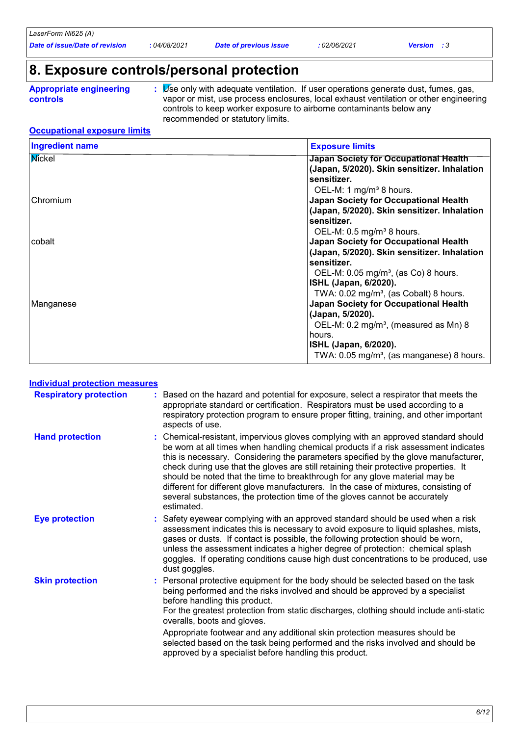*Date of issue/Date of revision* **:** *04/08/2021 Date of previous issue : 02/06/2021 Version : 3*

### **8. Exposure controls/personal protection**

**Appropriate engineering controls**

**:** Use only with adequate ventilation. If user operations generate dust, fumes, gas, vapor or mist, use process enclosures, local exhaust ventilation or other engineering controls to keep worker exposure to airborne contaminants below any recommended or statutory limits.

#### **Occupational exposure limits**

| <b>Ingredient name</b> | <b>Exposure limits</b>                               |
|------------------------|------------------------------------------------------|
| Mickel                 | Japan Society for Occupational Health                |
|                        | (Japan, 5/2020). Skin sensitizer. Inhalation         |
|                        | sensitizer.                                          |
|                        | OEL-M: 1 mg/m <sup>3</sup> 8 hours.                  |
| Chromium               | <b>Japan Society for Occupational Health</b>         |
|                        | (Japan, 5/2020). Skin sensitizer. Inhalation         |
|                        | sensitizer.                                          |
|                        | OEL-M: $0.5$ mg/m <sup>3</sup> 8 hours.              |
| cobalt                 | <b>Japan Society for Occupational Health</b>         |
|                        | (Japan, 5/2020). Skin sensitizer. Inhalation         |
|                        | sensitizer.                                          |
|                        | OEL-M: 0.05 mg/m <sup>3</sup> , (as Co) 8 hours.     |
|                        | <b>ISHL (Japan, 6/2020).</b>                         |
|                        | TWA: $0.02 \text{ mg/m}^3$ , (as Cobalt) 8 hours.    |
| Manganese              | <b>Japan Society for Occupational Health</b>         |
|                        | (Japan, 5/2020).                                     |
|                        | OEL-M: 0.2 mg/m <sup>3</sup> , (measured as Mn) 8    |
|                        | hours.                                               |
|                        | <b>ISHL (Japan, 6/2020).</b>                         |
|                        | TWA: $0.05 \text{ mg/m}^3$ , (as manganese) 8 hours. |

#### **Individual protection measures**

| <b>Respiratory protection</b> | Based on the hazard and potential for exposure, select a respirator that meets the<br>appropriate standard or certification. Respirators must be used according to a<br>respiratory protection program to ensure proper fitting, training, and other important<br>aspects of use.                                                                                                                                                                                                                                                                                                                                         |
|-------------------------------|---------------------------------------------------------------------------------------------------------------------------------------------------------------------------------------------------------------------------------------------------------------------------------------------------------------------------------------------------------------------------------------------------------------------------------------------------------------------------------------------------------------------------------------------------------------------------------------------------------------------------|
| <b>Hand protection</b>        | : Chemical-resistant, impervious gloves complying with an approved standard should<br>be worn at all times when handling chemical products if a risk assessment indicates<br>this is necessary. Considering the parameters specified by the glove manufacturer,<br>check during use that the gloves are still retaining their protective properties. It<br>should be noted that the time to breakthrough for any glove material may be<br>different for different glove manufacturers. In the case of mixtures, consisting of<br>several substances, the protection time of the gloves cannot be accurately<br>estimated. |
| <b>Eye protection</b>         | Safety eyewear complying with an approved standard should be used when a risk<br>assessment indicates this is necessary to avoid exposure to liquid splashes, mists,<br>gases or dusts. If contact is possible, the following protection should be worn,<br>unless the assessment indicates a higher degree of protection: chemical splash<br>goggles. If operating conditions cause high dust concentrations to be produced, use<br>dust goggles.                                                                                                                                                                        |
| <b>Skin protection</b>        | Personal protective equipment for the body should be selected based on the task<br>being performed and the risks involved and should be approved by a specialist<br>before handling this product.<br>For the greatest protection from static discharges, clothing should include anti-static<br>overalls, boots and gloves.<br>Appropriate footwear and any additional skin protection measures should be<br>selected based on the task being performed and the risks involved and should be<br>approved by a specialist before handling this product.                                                                    |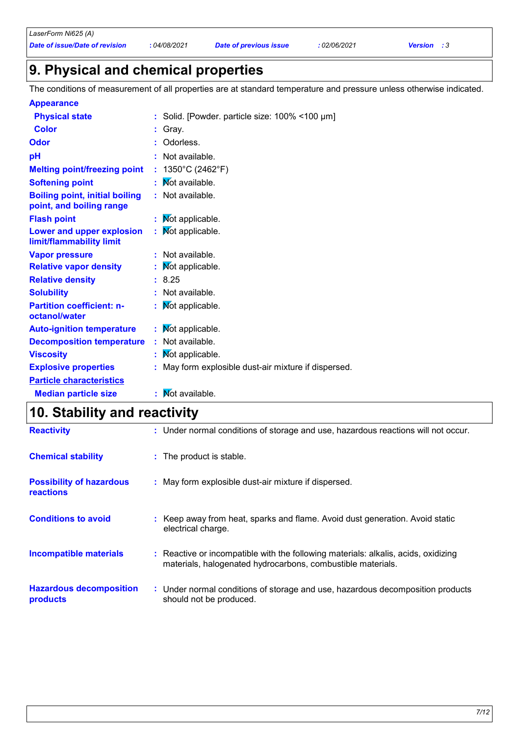### **9. Physical and chemical properties**

The conditions of measurement of all properties are at standard temperature and pressure unless otherwise indicated.

| <b>Appearance</b>                                                 |    |                                                      |
|-------------------------------------------------------------------|----|------------------------------------------------------|
| <b>Physical state</b>                                             |    | : Solid. [Powder. particle size: 100% <100 µm]       |
| <b>Color</b>                                                      |    | : Gray.                                              |
| <b>Odor</b>                                                       |    | Odorless.                                            |
| pH                                                                |    | : Not available.                                     |
| <b>Melting point/freezing point</b>                               |    | : $1350^{\circ}$ C (2462 $^{\circ}$ F)               |
| <b>Softening point</b>                                            |    | Not available.                                       |
| <b>Boiling point, initial boiling</b><br>point, and boiling range |    | : Not available.                                     |
| <b>Flash point</b>                                                | ÷. | Not applicable.                                      |
| Lower and upper explosion<br>limit/flammability limit             | ÷. | Mot applicable.                                      |
| <b>Vapor pressure</b>                                             |    | : Not available.                                     |
| <b>Relative vapor density</b>                                     |    | : Mot applicable.                                    |
| <b>Relative density</b>                                           |    | : 8.25                                               |
| <b>Solubility</b>                                                 |    | : Not available.                                     |
| <b>Partition coefficient: n-</b><br>octanol/water                 | ÷. | Mot applicable.                                      |
| <b>Auto-ignition temperature</b>                                  |    | $:$ Mot applicable.                                  |
| <b>Decomposition temperature</b>                                  |    | : Not available.                                     |
| <b>Viscosity</b>                                                  | ÷. | Mot applicable.                                      |
| <b>Explosive properties</b>                                       |    | : May form explosible dust-air mixture if dispersed. |
| <b>Particle characteristics</b>                                   |    |                                                      |
| <b>Median particle size</b>                                       |    | <b>N</b> ot available.                               |
|                                                                   |    |                                                      |

# **10. Stability and reactivity**

| <b>Reactivity</b>                                   | : Under normal conditions of storage and use, hazardous reactions will not occur.                                                                 |
|-----------------------------------------------------|---------------------------------------------------------------------------------------------------------------------------------------------------|
| <b>Chemical stability</b>                           | : The product is stable.                                                                                                                          |
| <b>Possibility of hazardous</b><br><b>reactions</b> | : May form explosible dust-air mixture if dispersed.                                                                                              |
| <b>Conditions to avoid</b>                          | : Keep away from heat, sparks and flame. Avoid dust generation. Avoid static<br>electrical charge.                                                |
| <b>Incompatible materials</b>                       | : Reactive or incompatible with the following materials: alkalis, acids, oxidizing<br>materials, halogenated hydrocarbons, combustible materials. |
| <b>Hazardous decomposition</b><br>products          | : Under normal conditions of storage and use, hazardous decomposition products<br>should not be produced.                                         |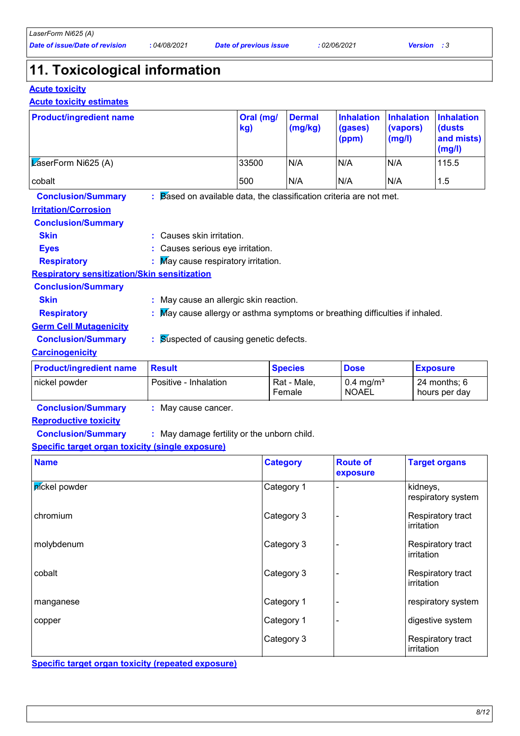### **11. Toxicological information**

#### **Acute toxicity**

#### **Acute toxicity estimates**

| <b>Product/ingredient name</b>                                                                                      |                                                                                                                                               | Oral (mg/<br>kg) | <b>Dermal</b><br>(mg/kg) | <b>Inhalation</b><br>(gases)<br>(ppm) | <b>Inhalation</b><br>(vapors)<br>(mg/l) | <b>Inhalation</b><br>(dusts<br>and mists)<br>(mg/l) |
|---------------------------------------------------------------------------------------------------------------------|-----------------------------------------------------------------------------------------------------------------------------------------------|------------------|--------------------------|---------------------------------------|-----------------------------------------|-----------------------------------------------------|
| $\sqrt{\mathsf{L}}$ aserForm Ni625 (A)                                                                              |                                                                                                                                               | 33500            | N/A                      | N/A                                   | N/A                                     | 115.5                                               |
| cobalt                                                                                                              |                                                                                                                                               | 500              | N/A                      | N/A                                   | N/A                                     | 1.5                                                 |
| <b>Conclusion/Summary</b><br><b>Irritation/Corrosion</b><br><b>Conclusion/Summary</b><br><b>Skin</b><br><b>Eyes</b> | $\therefore$ Based on available data, the classification criteria are not met.<br>Causes skin irritation.<br>: Causes serious eye irritation. |                  |                          |                                       |                                         |                                                     |
| <b>Respiratory</b>                                                                                                  | : May cause respiratory irritation.                                                                                                           |                  |                          |                                       |                                         |                                                     |
| <b>Respiratory sensitization/Skin sensitization</b>                                                                 |                                                                                                                                               |                  |                          |                                       |                                         |                                                     |
| <b>Conclusion/Summary</b><br><b>Skin</b><br><b>Respiratory</b>                                                      | May cause an allergic skin reaction.<br>May cause allergy or asthma symptoms or breathing difficulties if inhaled.                            |                  |                          |                                       |                                         |                                                     |
| <b>Germ Cell Mutagenicity</b><br><b>Conclusion/Summary</b><br><b>Carcinogenicity</b>                                | <b>Suspected of causing genetic defects.</b><br>÷.                                                                                            |                  |                          |                                       |                                         |                                                     |
| <b>Product/ingredient name</b>                                                                                      | <b>Result</b>                                                                                                                                 |                  | <b>Species</b>           | <b>Dose</b>                           |                                         | <b>Exposure</b>                                     |

| <b>Product/ingredient name</b> | <b>Result</b>         | <b>Species</b>        | <b>Dose</b>                          | <b>Exposure</b>                 |
|--------------------------------|-----------------------|-----------------------|--------------------------------------|---------------------------------|
| I nickel powder                | Positive - Inhalation | Rat - Male,<br>Female | $0.4 \text{ mg/m}^3$<br><b>NOAEL</b> | $24$ months: 6<br>hours per day |

**Conclusion/Summary :** May cause cancer.

#### **Reproductive toxicity**

**Conclusion/Summary :** : May damage fertility or the unborn child.

#### **Specific target organ toxicity (single exposure)**

| <b>Name</b>   | <b>Category</b> | <b>Route of</b><br>exposure | <b>Target organs</b>            |
|---------------|-----------------|-----------------------------|---------------------------------|
| pickel powder | Category 1      |                             | kidneys,<br>respiratory system  |
| chromium      | Category 3      |                             | Respiratory tract<br>irritation |
| molybdenum    | Category 3      |                             | Respiratory tract<br>irritation |
| cobalt        | Category 3      |                             | Respiratory tract<br>irritation |
| manganese     | Category 1      |                             | respiratory system              |
| copper        | Category 1      |                             | digestive system                |
|               | Category 3      |                             | Respiratory tract<br>irritation |

**Specific target organ toxicity (repeated exposure)**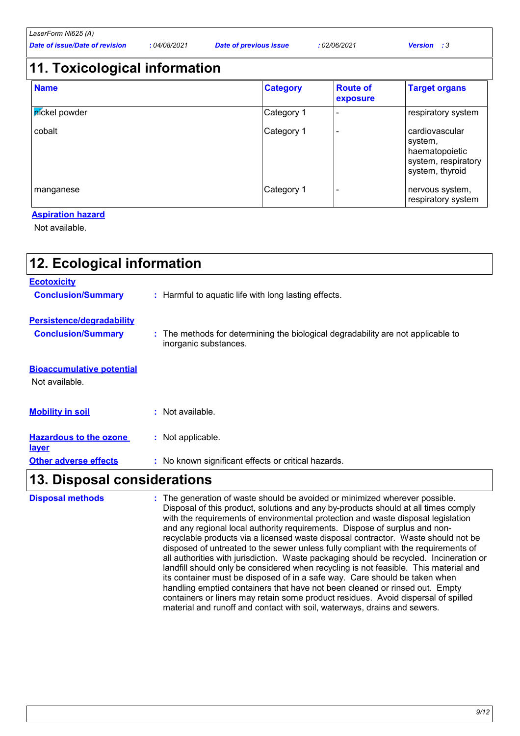## **11. Toxicological information**

| <b>Name</b>                 | <b>Category</b> | <b>Route of</b><br>exposure | <b>Target organs</b>                                                                  |
|-----------------------------|-----------------|-----------------------------|---------------------------------------------------------------------------------------|
| <i><b>PICKel powder</b></i> | Category 1      |                             | respiratory system                                                                    |
| cobalt                      | Category 1      |                             | cardiovascular<br>system,<br>haematopoietic<br>system, respiratory<br>system, thyroid |
| manganese                   | Category 1      |                             | nervous system,<br>respiratory system                                                 |

#### **Aspiration hazard**

Not available.

| 12. Ecological information                         |                                                                                                           |
|----------------------------------------------------|-----------------------------------------------------------------------------------------------------------|
| <b>Ecotoxicity</b>                                 |                                                                                                           |
| <b>Conclusion/Summary</b>                          | : Harmful to aquatic life with long lasting effects.                                                      |
| Persistence/degradability                          |                                                                                                           |
| <b>Conclusion/Summary</b>                          | : The methods for determining the biological degradability are not applicable to<br>inorganic substances. |
| <b>Bioaccumulative potential</b><br>Not available. |                                                                                                           |
| <b>Mobility in soil</b>                            | : Not available.                                                                                          |
| <b>Hazardous to the ozone</b><br><u>layer</u>      | : Not applicable.                                                                                         |
| <b>Other adverse effects</b>                       | : No known significant effects or critical hazards.                                                       |
| 13. Disposal considerations                        |                                                                                                           |

| <b>Disposal methods</b> | : The generation of waste should be avoided or minimized wherever possible.<br>Disposal of this product, solutions and any by-products should at all times comply<br>with the requirements of environmental protection and waste disposal legislation<br>and any regional local authority requirements. Dispose of surplus and non-<br>recyclable products via a licensed waste disposal contractor. Waste should not be<br>disposed of untreated to the sewer unless fully compliant with the requirements of<br>all authorities with jurisdiction. Waste packaging should be recycled. Incineration or<br>landfill should only be considered when recycling is not feasible. This material and<br>its container must be disposed of in a safe way. Care should be taken when<br>handling emptied containers that have not been cleaned or rinsed out. Empty<br>containers or liners may retain some product residues. Avoid dispersal of spilled<br>material and runoff and contact with soil, waterways, drains and sewers. |
|-------------------------|--------------------------------------------------------------------------------------------------------------------------------------------------------------------------------------------------------------------------------------------------------------------------------------------------------------------------------------------------------------------------------------------------------------------------------------------------------------------------------------------------------------------------------------------------------------------------------------------------------------------------------------------------------------------------------------------------------------------------------------------------------------------------------------------------------------------------------------------------------------------------------------------------------------------------------------------------------------------------------------------------------------------------------|
|-------------------------|--------------------------------------------------------------------------------------------------------------------------------------------------------------------------------------------------------------------------------------------------------------------------------------------------------------------------------------------------------------------------------------------------------------------------------------------------------------------------------------------------------------------------------------------------------------------------------------------------------------------------------------------------------------------------------------------------------------------------------------------------------------------------------------------------------------------------------------------------------------------------------------------------------------------------------------------------------------------------------------------------------------------------------|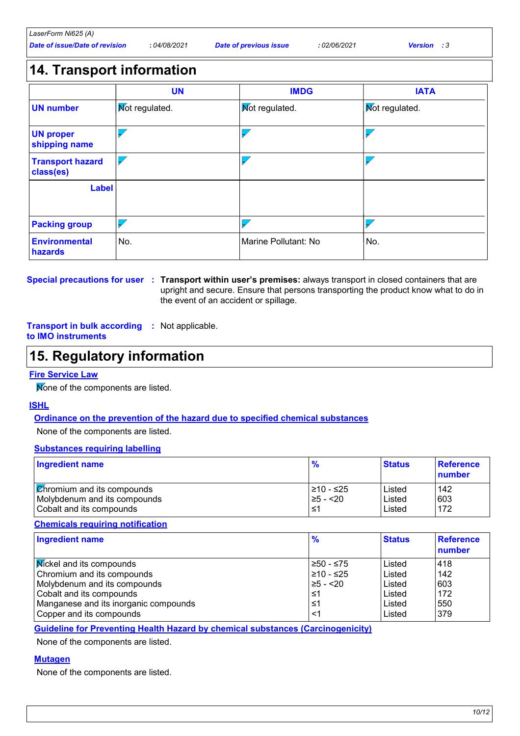| Date of issue/Date of revision<br>04/08/2021<br>: <i>02/06/2021</i><br>Date of previous issue<br><b>Version</b> : 3 | LaserForm Ni625 (A) |  |  |
|---------------------------------------------------------------------------------------------------------------------|---------------------|--|--|
|                                                                                                                     |                     |  |  |

### **14. Transport information**

|                                      | <b>UN</b>             | <b>IMDG</b>          | <b>IATA</b>           |
|--------------------------------------|-----------------------|----------------------|-----------------------|
| <b>UN number</b>                     | <b>Mot regulated.</b> | Mot regulated.       | <b>Mot regulated.</b> |
| <b>UN proper</b><br>shipping name    |                       |                      |                       |
| <b>Transport hazard</b><br>class(es) |                       |                      |                       |
| <b>Label</b>                         |                       |                      |                       |
| <b>Packing group</b>                 |                       |                      |                       |
| <b>Environmental</b><br>hazards      | No.                   | Marine Pollutant: No | No.                   |

#### **Special precautions for user Transport within user's premises:** always transport in closed containers that are **:** upright and secure. Ensure that persons transporting the product know what to do in the event of an accident or spillage.

#### **Transport in bulk according :** Not applicable. **to IMO instruments**

### **15. Regulatory information**

#### **Fire Service Law**

Mone of the components are listed.

#### **ISHL**

#### **Ordinance on the prevention of the hazard due to specified chemical substances**

None of the components are listed.

#### **Substances requiring labelling**

| $\frac{9}{6}$               | <b>Status</b>    | Reference<br>number |
|-----------------------------|------------------|---------------------|
| l≥10 - ≤25<br>$\geq 5 - 20$ | Listed<br>Listed | 142<br>603<br>172   |
|                             |                  | Listed              |

#### **Chemicals requiring notification**

| <b>Ingredient name</b>                | $\frac{9}{6}$ | <b>Status</b> | <b>Reference</b><br>number |
|---------------------------------------|---------------|---------------|----------------------------|
| <b>Mickel and its compounds</b>       | ≥50 - ≤75     | Listed        | 418                        |
| Chromium and its compounds            | 210 - ≤25     | Listed        | 142                        |
| Molybdenum and its compounds          | $\geq 5 - 20$ | Listed        | 603                        |
| Cobalt and its compounds              | ≤1            | Listed        | 172                        |
| Manganese and its inorganic compounds | ≤1            | Listed        | 550                        |
| Copper and its compounds              | <1            | Listed        | 379                        |

**Guideline for Preventing Health Hazard by chemical substances (Carcinogenicity)**

None of the components are listed.

#### **Mutagen**

None of the components are listed.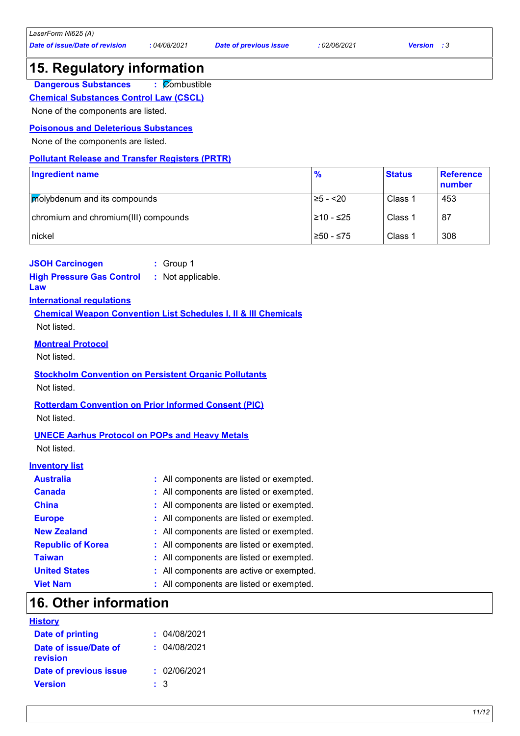### **15. Regulatory information**

**:** Combustible **Dangerous Substances**

**Chemical Substances Control Law (CSCL)**

None of the components are listed.

#### **Poisonous and Deleterious Substances**

None of the components are listed.

#### **Pollutant Release and Transfer Registers (PRTR)**

| Ingredient name                      | $\frac{9}{6}$ | <b>Status</b> | Reference<br>number |
|--------------------------------------|---------------|---------------|---------------------|
| <b>Molybdenum and its compounds</b>  | 25 - <20      | Class 1       | 453                 |
| chromium and chromium(III) compounds | 210 - ≤25     | Class 1       | 87                  |
| nickel                               | 250 - ≤75     | Class 1       | 308                 |

#### **JSOH Carcinogen :** Group 1

**High Pressure Gas Control Law :** Not applicable.

#### **International regulations**

**Chemical Weapon Convention List Schedules I, II & III Chemicals** Not listed.

#### **Montreal Protocol**

Not listed.

### **Stockholm Convention on Persistent Organic Pollutants**

Not listed.

#### **Rotterdam Convention on Prior Informed Consent (PIC)**

Not listed.

#### **UNECE Aarhus Protocol on POPs and Heavy Metals**

Not listed.

#### **Inventory list**

| <b>Australia</b>         | : All components are listed or exempted. |
|--------------------------|------------------------------------------|
| <b>Canada</b>            | : All components are listed or exempted. |
| <b>China</b>             | : All components are listed or exempted. |
| <b>Europe</b>            | : All components are listed or exempted. |
| <b>New Zealand</b>       | : All components are listed or exempted. |
| <b>Republic of Korea</b> | : All components are listed or exempted. |
| <b>Taiwan</b>            | : All components are listed or exempted. |
| <b>United States</b>     | : All components are active or exempted. |
| <b>Viet Nam</b>          | : All components are listed or exempted. |

### **16. Other information**

| <b>History</b> |  |  |
|----------------|--|--|
|                |  |  |

| : 04/08/2021 |
|--------------|
| : 04/08/2021 |
| : 02/06/2021 |
|              |
| : 3          |